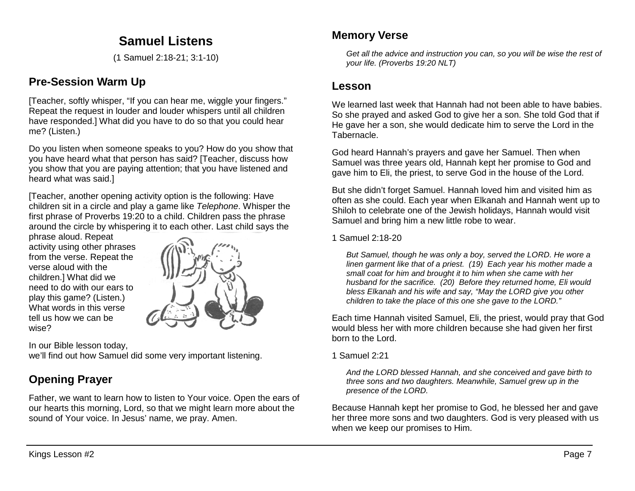# **Samuel Listens**

(1 Samuel 2:18-21; 3:1-10)

## **Pre-Session Warm Up**

[Teacher, softly whisper, "If you can hear me, wiggle your fingers." Repeat the request in louder and louder whispers until all children have responded.] What did you have to do so that you could hear me? (Listen.)

Do you listen when someone speaks to you? How do you show that you have heard what that person has said? [Teacher, discuss how you show that you are paying attention; that you have listened and heard what was said.]

[Teacher, another opening activity option is the following: Have children sit in a circle and play a game like *Telephone*. Whisper the first phrase of Proverbs 19:20 to a child. Children pass the phrase around the circle by whispering it to each other. Last child says the

phrase aloud. Repeat activity using other phrases from the verse. Repeat the verse aloud with the children.] What did we need to do with our ears to play this game? (Listen.) What words in this verse tell us how we can be wise?



In our Bible lesson today, we'll find out how Samuel did some very important listening.

# **Opening Prayer**

Father, we want to learn how to listen to Your voice. Open the ears of our hearts this morning, Lord, so that we might learn more about the sound of Your voice. In Jesus' name, we pray. Amen.

## **Memory Verse**

*Get all the advice and instruction you can, so you will be wise the rest of your life. (Proverbs 19:20 NLT)*

## **Lesson**

We learned last week that Hannah had not been able to have babies. So she prayed and asked God to give her a son. She told God that if He gave her a son, she would dedicate him to serve the Lord in the Tabernacle.

God heard Hannah's prayers and gave her Samuel. Then when Samuel was three years old, Hannah kept her promise to God and gave him to Eli, the priest, to serve God in the house of the Lord.

But she didn't forget Samuel. Hannah loved him and visited him as often as she could. Each year when Elkanah and Hannah went up to Shiloh to celebrate one of the Jewish holidays, Hannah would visit Samuel and bring him a new little robe to wear.

### 1 Samuel 2:18-20

*But Samuel, though he was only a boy, served the LORD. He wore a linen garment like that of a priest. (19) Each year his mother made a small coat for him and brought it to him when she came with her husband for the sacrifice. (20) Before they returned home, Eli would bless Elkanah and his wife and say, "May the LORD give you other children to take the place of this one she gave to the LORD."*

Each time Hannah visited Samuel, Eli, the priest, would pray that God would bless her with more children because she had given her first born to the Lord.

#### 1 Samuel 2:21

*And the LORD blessed Hannah, and she conceived and gave birth to three sons and two daughters. Meanwhile, Samuel grew up in the presence of the LORD.*

Because Hannah kept her promise to God, he blessed her and gave her three more sons and two daughters. God is very pleased with us when we keep our promises to Him.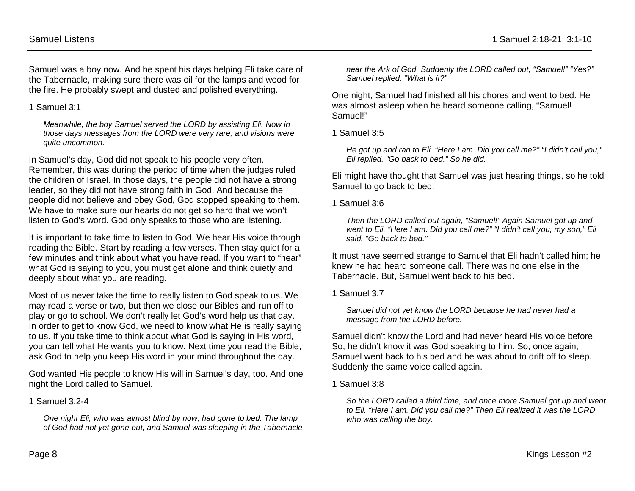Samuel was a boy now. And he spent his days helping Eli take care of the Tabernacle, making sure there was oil for the lamps and wood for the fire. He probably swept and dusted and polished everything.

1 Samuel 3:1

*Meanwhile, the boy Samuel served the LORD by assisting Eli. Now in those days messages from the LORD were very rare, and visions were quite uncommon.*

In Samuel's day, God did not speak to his people very often. Remember, this was during the period of time when the judges ruled the children of Israel. In those days, the people did not have a strong leader, so they did not have strong faith in God. And because the people did not believe and obey God, God stopped speaking to them. We have to make sure our hearts do not get so hard that we won't listen to God's word. God only speaks to those who are listening.

It is important to take time to listen to God. We hear His voice through reading the Bible. Start by reading a few verses. Then stay quiet for a few minutes and think about what you have read. If you want to "hear" what God is saying to you, you must get alone and think quietly and deeply about what you are reading.

Most of us never take the time to really listen to God speak to us. We may read a verse or two, but then we close our Bibles and run off to play or go to school. We don't really let God's word help us that day. In order to get to know God, we need to know what He is really saying to us. If you take time to think about what God is saying in His word, you can tell what He wants you to know. Next time you read the Bible, ask God to help you keep His word in your mind throughout the day.

God wanted His people to know His will in Samuel's day, too. And one night the Lord called to Samuel.

1 Samuel 3:2-4

*One night Eli, who was almost blind by now, had gone to bed. The lamp of God had not yet gone out, and Samuel was sleeping in the Tabernacle* 

*near the Ark of God. Suddenly the LORD called out, "Samuel!" "Yes?" Samuel replied. "What is it?"* 

One night, Samuel had finished all his chores and went to bed. He was almost asleep when he heard someone calling, "Samuel! Samuel!"

1 Samuel 3:5

*He got up and ran to Eli. "Here I am. Did you call me?" "I didn't call you," Eli replied. "Go back to bed." So he did.*

Eli might have thought that Samuel was just hearing things, so he told Samuel to go back to bed.

1 Samuel 3:6

*Then the LORD called out again, "Samuel!" Again Samuel got up and went to Eli. "Here I am. Did you call me?" "I didn't call you, my son," Eli said. "Go back to bed."*

It must have seemed strange to Samuel that Eli hadn't called him; he knew he had heard someone call. There was no one else in the Tabernacle. But, Samuel went back to his bed.

1 Samuel 3:7

*Samuel did not yet know the LORD because he had never had a message from the LORD before.*

Samuel didn't know the Lord and had never heard His voice before. So, he didn't know it was God speaking to him. So, once again, Samuel went back to his bed and he was about to drift off to sleep. Suddenly the same voice called again.

1 Samuel 3:8

*So the LORD called a third time, and once more Samuel got up and went to Eli. "Here I am. Did you call me?" Then Eli realized it was the LORD who was calling the boy.*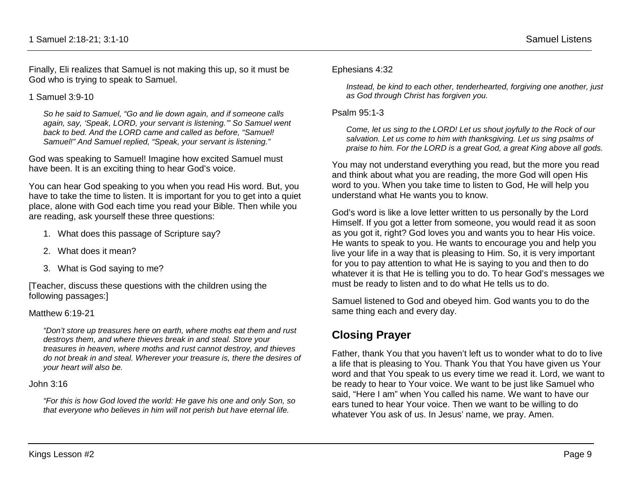Finally, Eli realizes that Samuel is not making this up, so it must be God who is trying to speak to Samuel.

1 Samuel 3:9-10

*So he said to Samuel, "Go and lie down again, and if someone calls again, say, 'Speak, LORD, your servant is listening.'" So Samuel went back to bed. And the LORD came and called as before, "Samuel! Samuel!" And Samuel replied, "Speak, your servant is listening."* 

God was speaking to Samuel! Imagine how excited Samuel must have been. It is an exciting thing to hear God's voice.

You can hear God speaking to you when you read His word. But, you have to take the time to listen. It is important for you to get into a quiet place, alone with God each time you read your Bible. Then while you are reading, ask yourself these three questions:

- 1. What does this passage of Scripture say?
- 2. What does it mean?
- 3. What is God saying to me?

[Teacher, discuss these questions with the children using the following passages:]

#### Matthew 6:19-21

*"Don't store up treasures here on earth, where moths eat them and rust destroys them, and where thieves break in and steal. Store your treasures in heaven, where moths and rust cannot destroy, and thieves do not break in and steal. Wherever your treasure is, there the desires of your heart will also be.* 

#### John 3:16

*"For this is how God loved the world: He gave his one and only Son, so that everyone who believes in him will not perish but have eternal life.* 

#### Ephesians 4:32

*Instead, be kind to each other, tenderhearted, forgiving one another, just as God through Christ has forgiven you.*

#### Psalm 95:1-3

*Come, let us sing to the LORD! Let us shout joyfully to the Rock of our salvation. Let us come to him with thanksgiving. Let us sing psalms of praise to him. For the LORD is a great God, a great King above all gods.*

You may not understand everything you read, but the more you read and think about what you are reading, the more God will open His word to you. When you take time to listen to God, He will help you understand what He wants you to know.

God's word is like a love letter written to us personally by the Lord Himself. If you got a letter from someone, you would read it as soon as you got it, right? God loves you and wants you to hear His voice. He wants to speak to you. He wants to encourage you and help you live your life in a way that is pleasing to Him. So, it is very important for you to pay attention to what He is saying to you and then to do whatever it is that He is telling you to do. To hear God's messages we must be ready to listen and to do what He tells us to do.

Samuel listened to God and obeyed him. God wants you to do the same thing each and every day.

# **Closing Prayer**

Father, thank You that you haven't left us to wonder what to do to live a life that is pleasing to You. Thank You that You have given us Your word and that You speak to us every time we read it. Lord, we want to be ready to hear to Your voice. We want to be just like Samuel who said, "Here I am" when You called his name. We want to have our ears tuned to hear Your voice. Then we want to be willing to do whatever You ask of us. In Jesus' name, we pray. Amen.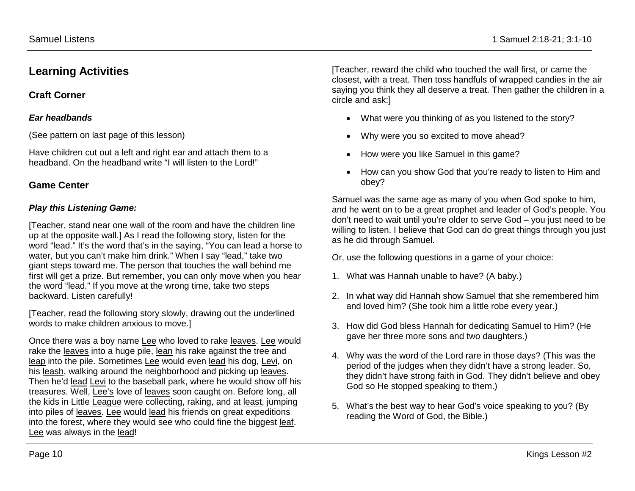## **Learning Activities**

## **Craft Corner**

### *Ear headbands*

(See pattern on last page of this lesson)

Have children cut out a left and right ear and attach them to a headband. On the headband write "I will listen to the Lord!"

### **Game Center**

### *Play this Listening Game:*

[Teacher, stand near one wall of the room and have the children line up at the opposite wall.] As I read the following story, listen for the word "lead." It's the word that's in the saying, "You can lead a horse to water, but you can't make him drink." When I say "lead," take two giant steps toward me. The person that touches the wall behind me first will get a prize. But remember, you can only move when you hear the word "lead." If you move at the wrong time, take two steps backward. Listen carefully!

[Teacher, read the following story slowly, drawing out the underlined words to make children anxious to move.]

Once there was a boy name Lee who loved to rake leaves. Lee would rake the leaves into a huge pile, lean his rake against the tree and leap into the pile. Sometimes Lee would even lead his dog, Levi, on his leash, walking around the neighborhood and picking up leaves. Then he'd lead Levi to the baseball park, where he would show off his treasures. Well, Lee's love of leaves soon caught on. Before long, all the kids in Little League were collecting, raking, and at least, jumping into piles of leaves. Lee would lead his friends on great expeditions into the forest, where they would see who could fine the biggest leaf. Lee was always in the lead!

[Teacher, reward the child who touched the wall first, or came the closest, with a treat. Then toss handfuls of wrapped candies in the air saying you think they all deserve a treat. Then gather the children in a circle and ask:]

- What were you thinking of as you listened to the story?
- Why were you so excited to move ahead?
- How were you like Samuel in this game?
- How can you show God that you're ready to listen to Him and obey?

Samuel was the same age as many of you when God spoke to him, and he went on to be a great prophet and leader of God's people. You don't need to wait until you're older to serve God – you just need to be willing to listen. I believe that God can do great things through you just as he did through Samuel.

- Or, use the following questions in a game of your choice:
- 1. What was Hannah unable to have? (A baby.)
- 2. In what way did Hannah show Samuel that she remembered him and loved him? (She took him a little robe every year.)
- 3. How did God bless Hannah for dedicating Samuel to Him? (He gave her three more sons and two daughters.)
- 4. Why was the word of the Lord rare in those days? (This was the period of the judges when they didn't have a strong leader. So, they didn't have strong faith in God. They didn't believe and obey God so He stopped speaking to them.)
- 5. What's the best way to hear God's voice speaking to you? (By reading the Word of God, the Bible.)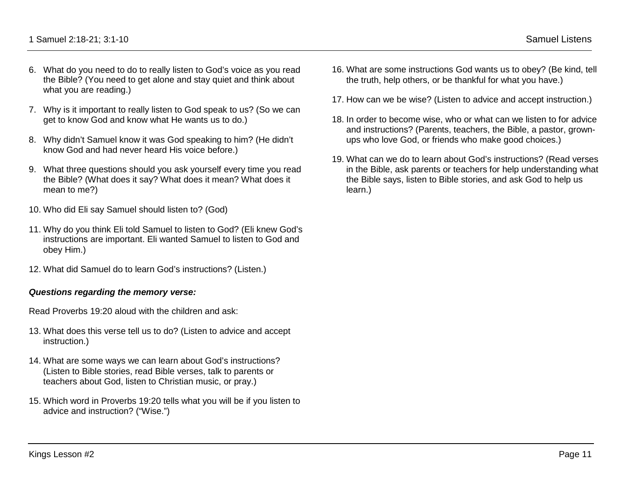- 6. What do you need to do to really listen to God's voice as you read the Bible? (You need to get alone and stay quiet and think about what you are reading.)
- 7. Why is it important to really listen to God speak to us? (So we can get to know God and know what He wants us to do.)
- 8. Why didn't Samuel know it was God speaking to him? (He didn't know God and had never heard His voice before.)
- 9. What three questions should you ask yourself every time you read the Bible? (What does it say? What does it mean? What does it mean to me?)
- 10. Who did Eli say Samuel should listen to? (God)
- 11. Why do you think Eli told Samuel to listen to God? (Eli knew God's instructions are important. Eli wanted Samuel to listen to God and obey Him.)
- 12. What did Samuel do to learn God's instructions? (Listen.)

#### *Questions regarding the memory verse:*

Read Proverbs 19:20 aloud with the children and ask:

- 13. What does this verse tell us to do? (Listen to advice and accept instruction.)
- 14. What are some ways we can learn about God's instructions? (Listen to Bible stories, read Bible verses, talk to parents or teachers about God, listen to Christian music, or pray.)
- 15. Which word in Proverbs 19:20 tells what you will be if you listen to advice and instruction? ("Wise.")
- 16. What are some instructions God wants us to obey? (Be kind, tell the truth, help others, or be thankful for what you have.)
- 17. How can we be wise? (Listen to advice and accept instruction.)
- 18. In order to become wise, who or what can we listen to for advice and instructions? (Parents, teachers, the Bible, a pastor, grownups who love God, or friends who make good choices.)
- 19. What can we do to learn about God's instructions? (Read verses in the Bible, ask parents or teachers for help understanding what the Bible says, listen to Bible stories, and ask God to help us learn.)